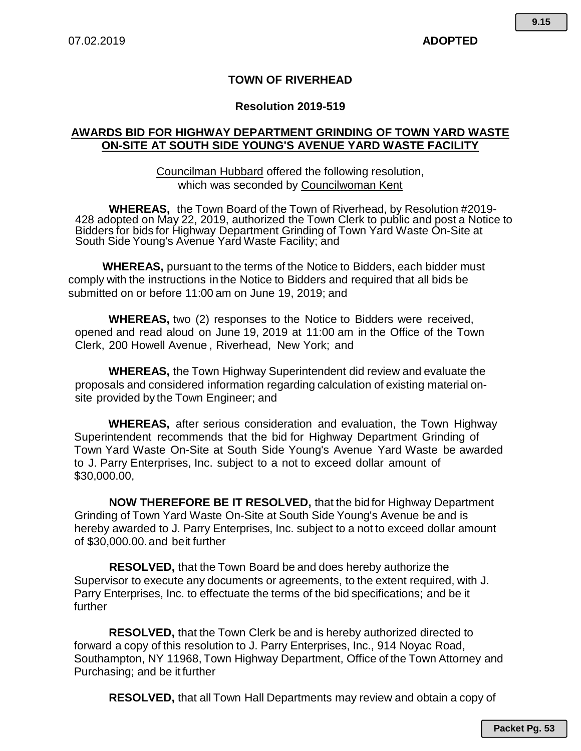## **TOWN OF RIVERHEAD**

## **Resolution 2019-519**

## **AWARDS BID FOR HIGHWAY DEPARTMENT GRINDING OF TOWN YARD WASTE ON-SITE AT SOUTH SIDE YOUNG'S AVENUE YARD WASTE FACILITY**

Councilman Hubbard offered the following resolution, which was seconded by Councilwoman Kent

**WHEREAS,** the Town Board of the Town of Riverhead, by Resolution #2019- 428 adopted on May 22, 2019, authorized the Town Clerk to public and post a Notice to Bidders for bids for Highway Department Grinding of Town Yard Waste On-Site at South Side Young's Avenue Yard Waste Facility; and

**WHEREAS,** pursuant to the terms of the Notice to Bidders, each bidder must comply with the instructions in the Notice to Bidders and required that all bids be submitted on or before 11:00 am on June 19, 2019; and

**WHEREAS,** two (2) responses to the Notice to Bidders were received, opened and read aloud on June 19, 2019 at 11:00 am in the Office of the Town Clerk, 200 Howell Avenue , Riverhead, New York; and

**WHEREAS,** the Town Highway Superintendent did review and evaluate the proposals and considered information regarding calculation of existing material onsite provided by the Town Engineer; and

**WHEREAS,** after serious consideration and evaluation, the Town Highway Superintendent recommends that the bid for Highway Department Grinding of Town Yard Waste On-Site at South Side Young's Avenue Yard Waste be awarded to J. Parry Enterprises, Inc. subject to a not to exceed dollar amount of \$30,000.00,

**NOW THEREFORE BE IT RESOLVED,** that the bid for Highway Department Grinding of Town Yard Waste On-Site at South Side Young's Avenue be and is hereby awarded to J. Parry Enterprises, Inc. subject to a not to exceed dollar amount of \$30,000.00.and beit further

**RESOLVED,** that the Town Board be and does hereby authorize the Supervisor to execute any documents or agreements, to the extent required, with J. Parry Enterprises, Inc. to effectuate the terms of the bid specifications; and be it further

**RESOLVED,** that the Town Clerk be and is hereby authorized directed to forward a copy of this resolution to J. Parry Enterprises, Inc., 914 Noyac Road, Southampton, NY 11968, Town Highway Department, Office of the Town Attorney and Purchasing; and be it further

**RESOLVED,** that all Town Hall Departments may review and obtain a copy of